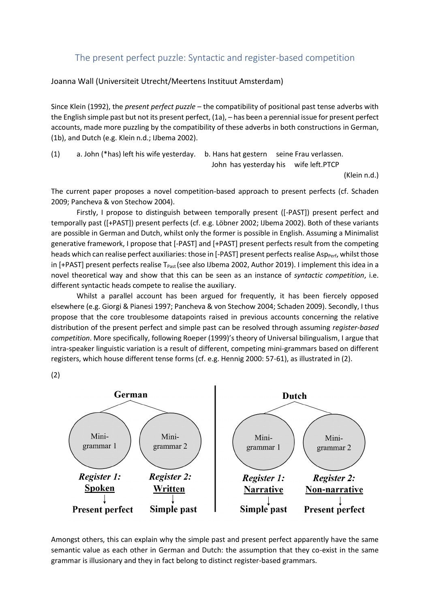## The present perfect puzzle: Syntactic and register-based competition

## Joanna Wall (Universiteit Utrecht/Meertens Instituut Amsterdam)

Since Klein (1992), the *present perfect puzzle* – the compatibility of positional past tense adverbs with the English simple past but not its present perfect, (1a), – has been a perennial issue for present perfect accounts, made more puzzling by the compatibility of these adverbs in both constructions in German, (1b), and Dutch (e.g. Klein n.d.; IJbema 2002).

(1) a. John (\*has) left his wife yesterday. b. Hans hat gestern seine Frau verlassen. John has yesterday his wife left.PTCP

(Klein n.d.)

The current paper proposes a novel competition-based approach to present perfects (cf. Schaden 2009; Pancheva & von Stechow 2004).

Firstly, I propose to distinguish between temporally present ([-PAST]) present perfect and temporally past ([+PAST]) present perfects (cf. e.g. Löbner 2002; IJbema 2002). Both of these variants are possible in German and Dutch, whilst only the former is possible in English. Assuming a Minimalist generative framework, I propose that [-PAST] and [+PAST] present perfects result from the competing heads which can realise perfect auxiliaries: those in [-PAST] present perfects realise Asp<sub>Perf,</sub> whilst those in [+PAST] present perfects realise T<sub>Past</sub> (see also IJbema 2002, Author 2019). I implement this idea in a novel theoretical way and show that this can be seen as an instance of *syntactic competition*, i.e. different syntactic heads compete to realise the auxiliary.

Whilst a parallel account has been argued for frequently, it has been fiercely opposed elsewhere (e.g. Giorgi & Pianesi 1997; Pancheva & von Stechow 2004; Schaden 2009). Secondly, I thus propose that the core troublesome datapoints raised in previous accounts concerning the relative distribution of the present perfect and simple past can be resolved through assuming *register-based competition*. More specifically, following Roeper (1999)'s theory of Universal bilingualism, I argue that intra-speaker linguistic variation is a result of different, competing mini-grammars based on different registers, which house different tense forms (cf. e.g. Hennig 2000: 57-61), as illustrated in (2).

(2)



Amongst others, this can explain why the simple past and present perfect apparently have the same semantic value as each other in German and Dutch: the assumption that they co-exist in the same grammar is illusionary and they in fact belong to distinct register-based grammars.